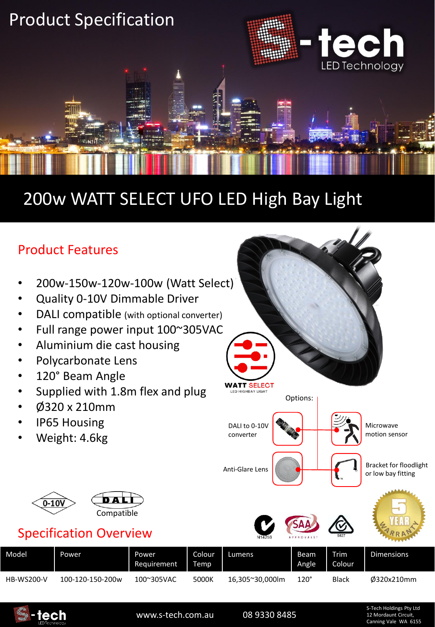

## 200w WATT SELECT UFO LED High Bay Light

### Product Features

- 200w-150w-120w-100w (Watt Select)
- Quality 0-10V Dimmable Driver
- DALI compatible (with optional converter)
- Full range power input 100~305VAC
- Aluminium die cast housing
- Polycarbonate Lens
- 120° Beam Angle
- Supplied with 1.8m flex and plug
- Ø320 x 210mm
- IP65 Housing
- Weight: 4.6kg



### Specification Overview

| Model             | Power            | Power<br>Requirement | Colour<br>Temp | Lumens          | Beam<br>Angle | <b>Trim</b><br>Colour | <b>Dimensions</b> |  |
|-------------------|------------------|----------------------|----------------|-----------------|---------------|-----------------------|-------------------|--|
| <b>HB-WS200-V</b> | 100-120-150-200w | 100~305VAC           | 5000K          | 16.305~30.000lm | $120^\circ$   | <b>Black</b>          | 0320x210mm        |  |



www.s-tech.com.au 08 9330 8485

Options:

DALI to 0-10V converter

**WATT SELECT** LED HIGHBAY LIGHT

Anti-Glare Lens (Anti-Glare Lens Contract of Table 1997) or low bay fitting

S-Tech Holdings Pty Ltd 12 Mordaunt Circuit, Canning Vale WA 6155

Microwave motion sensor

Bracket for floodlight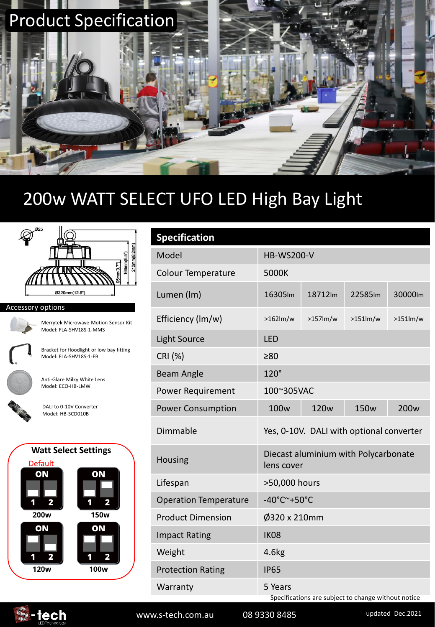

## 200w WATT SELECT UFO LED High Bay Light



#### Accessory options



Merrytek Microwave Motion Sensor Kit Model: FLA-SHV18S-1-MMS

Bracket for floodlight or low bay fitting Model: FLA-SHV18S-1-FB

Anti-Glare Milky White Lens Model: ECO-HB-LMW

DALI to 0-10V Converter Model: HB-SCD010B

#### **Watt Select Settings**



| <b>Specification</b>         |                                                                |                  |                  |                  |  |  |  |  |  |
|------------------------------|----------------------------------------------------------------|------------------|------------------|------------------|--|--|--|--|--|
| Model                        | <b>HB-WS200-V</b>                                              |                  |                  |                  |  |  |  |  |  |
| <b>Colour Temperature</b>    | 5000K                                                          |                  |                  |                  |  |  |  |  |  |
| Lumen (Im)                   | 16305Im                                                        | 18712Im          | 22585Im          | 30000lm          |  |  |  |  |  |
| Efficiency (Im/w)            | $>162$ lm/w                                                    | $>157$ lm/w      | $>151$ lm/w      | >151lm/w         |  |  |  |  |  |
| <b>Light Source</b>          | <b>LED</b>                                                     |                  |                  |                  |  |  |  |  |  |
| CRI (%)                      | >80                                                            |                  |                  |                  |  |  |  |  |  |
| Beam Angle                   | $120^\circ$                                                    |                  |                  |                  |  |  |  |  |  |
| Power Requirement            | 100~305VAC                                                     |                  |                  |                  |  |  |  |  |  |
| <b>Power Consumption</b>     | 100 <sub>w</sub>                                               | 120 <sub>w</sub> | 150 <sub>w</sub> | 200 <sub>w</sub> |  |  |  |  |  |
| Dimmable                     | Yes, 0-10V. DALI with optional converter                       |                  |                  |                  |  |  |  |  |  |
| <b>Housing</b>               | Diecast aluminium with Polycarbonate<br>lens cover             |                  |                  |                  |  |  |  |  |  |
| Lifespan                     | >50,000 hours                                                  |                  |                  |                  |  |  |  |  |  |
| <b>Operation Temperature</b> | -40°C~+50°C                                                    |                  |                  |                  |  |  |  |  |  |
| <b>Product Dimension</b>     | Ø320 x 210mm                                                   |                  |                  |                  |  |  |  |  |  |
| <b>Impact Rating</b>         | <b>IK08</b>                                                    |                  |                  |                  |  |  |  |  |  |
| Weight                       | 4.6kg                                                          |                  |                  |                  |  |  |  |  |  |
| <b>Protection Rating</b>     | <b>IP65</b>                                                    |                  |                  |                  |  |  |  |  |  |
| Warranty                     | 5 Years<br>Specifications are subject to change without notice |                  |                  |                  |  |  |  |  |  |

**E**-tech

www.s-tech.com.au 08 9330 8485